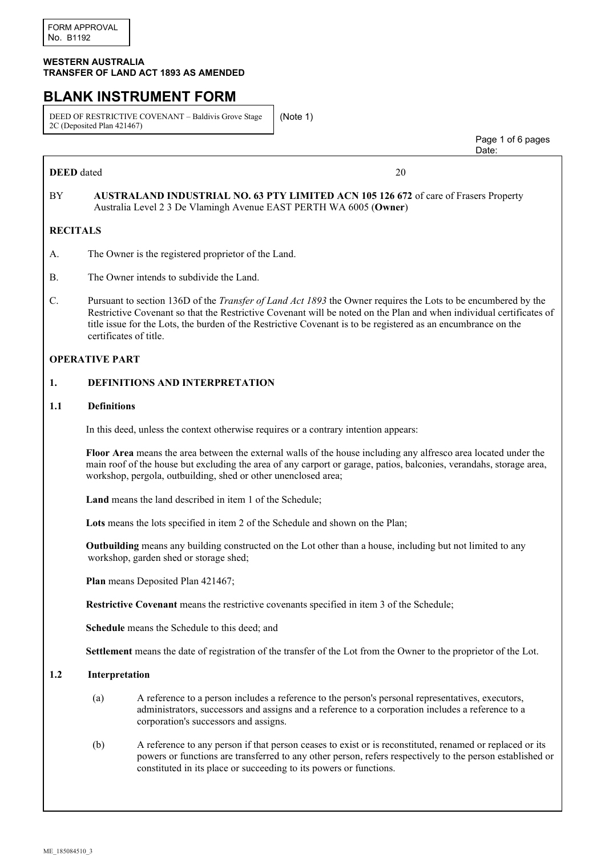## **WESTERN AUSTRALIA TRANSFER OF LAND ACT 1893 AS AMENDED**

# **BLANK INSTRUMENT FORM**

DEED OF RESTRICTIVE COVENANT – Baldivis Grove Stage 2C (Deposited Plan 421467)

(Note 1)

**DEED** dated 20

 Page 1 of 6 pages discussion of the contract of the contract of the contract of the contract of the contract of the contract of the contract of the contract of the contract of the contract of the contract of the contract of the contract of

# BY **AUSTRALAND INDUSTRIAL NO. 63 PTY LIMITED ACN 105 126 672** of care of Frasers Property Australia Level 2 3 De Vlamingh Avenue EAST PERTH WA 6005 (**Owner**)

## **RECITALS**

- A. The Owner is the registered proprietor of the Land.
- B. The Owner intends to subdivide the Land.
- C. Pursuant to section 136D of the *Transfer of Land Act 1893* the Owner requires the Lots to be encumbered by the Restrictive Covenant so that the Restrictive Covenant will be noted on the Plan and when individual certificates of title issue for the Lots, the burden of the Restrictive Covenant is to be registered as an encumbrance on the certificates of title.

## **OPERATIVE PART**

## **1. DEFINITIONS AND INTERPRETATION**

## **1.1 Definitions**

In this deed, unless the context otherwise requires or a contrary intention appears:

**Floor Area** means the area between the external walls of the house including any alfresco area located under the main roof of the house but excluding the area of any carport or garage, patios, balconies, verandahs, storage area, workshop, pergola, outbuilding, shed or other unenclosed area;

**Land** means the land described in item 1 of the Schedule;

**Lots** means the lots specified in item 2 of the Schedule and shown on the Plan;

**Outbuilding** means any building constructed on the Lot other than a house, including but not limited to any workshop, garden shed or storage shed;

**Plan** means Deposited Plan 421467;

**Restrictive Covenant** means the restrictive covenants specified in item 3 of the Schedule;

**Schedule** means the Schedule to this deed; and

**Settlement** means the date of registration of the transfer of the Lot from the Owner to the proprietor of the Lot.

## **1.2 Interpretation**

- (a) A reference to a person includes a reference to the person's personal representatives, executors, administrators, successors and assigns and a reference to a corporation includes a reference to a corporation's successors and assigns.
- (b) A reference to any person if that person ceases to exist or is reconstituted, renamed or replaced or its powers or functions are transferred to any other person, refers respectively to the person established or constituted in its place or succeeding to its powers or functions.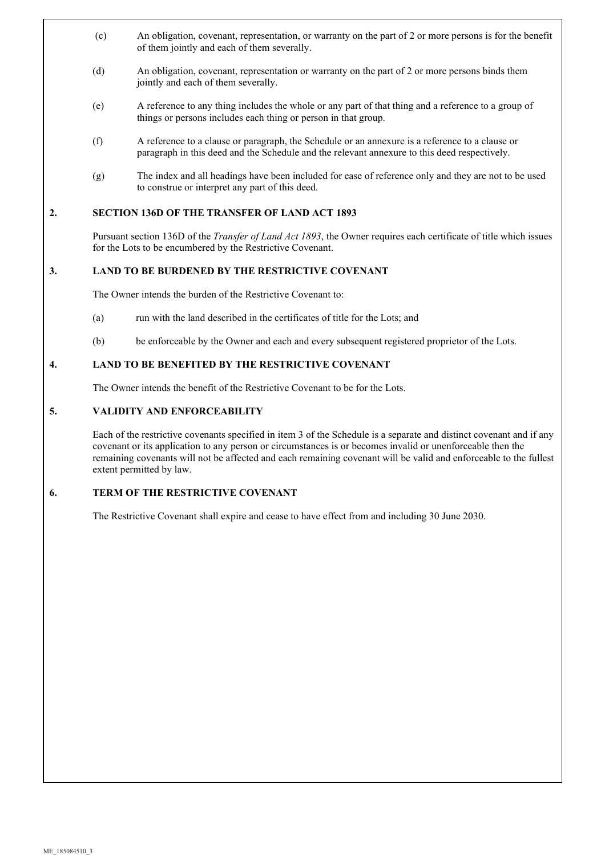- (c) An obligation, covenant, representation, or warranty on the part of 2 or more persons is for the benefit of them jointly and each of them severally.
- (d) An obligation, covenant, representation or warranty on the part of 2 or more persons binds them jointly and each of them severally.
- (e) A reference to any thing includes the whole or any part of that thing and a reference to a group of things or persons includes each thing or person in that group.
- (f) A reference to a clause or paragraph, the Schedule or an annexure is a reference to a clause or paragraph in this deed and the Schedule and the relevant annexure to this deed respectively.
- (g) The index and all headings have been included for ease of reference only and they are not to be used to construe or interpret any part of this deed.

## **2. SECTION 136D OF THE TRANSFER OF LAND ACT 1893**

Pursuant section 136D of the *Transfer of Land Act 1893*, the Owner requires each certificate of title which issues for the Lots to be encumbered by the Restrictive Covenant.

## **3. LAND TO BE BURDENED BY THE RESTRICTIVE COVENANT**

The Owner intends the burden of the Restrictive Covenant to:

- (a) run with the land described in the certificates of title for the Lots; and
- (b) be enforceable by the Owner and each and every subsequent registered proprietor of the Lots.

## **4. LAND TO BE BENEFITED BY THE RESTRICTIVE COVENANT**

The Owner intends the benefit of the Restrictive Covenant to be for the Lots.

## **5. VALIDITY AND ENFORCEABILITY**

Each of the restrictive covenants specified in item 3 of the Schedule is a separate and distinct covenant and if any covenant or its application to any person or circumstances is or becomes invalid or unenforceable then the remaining covenants will not be affected and each remaining covenant will be valid and enforceable to the fullest extent permitted by law.

## **6. TERM OF THE RESTRICTIVE COVENANT**

The Restrictive Covenant shall expire and cease to have effect from and including 30 June 2030.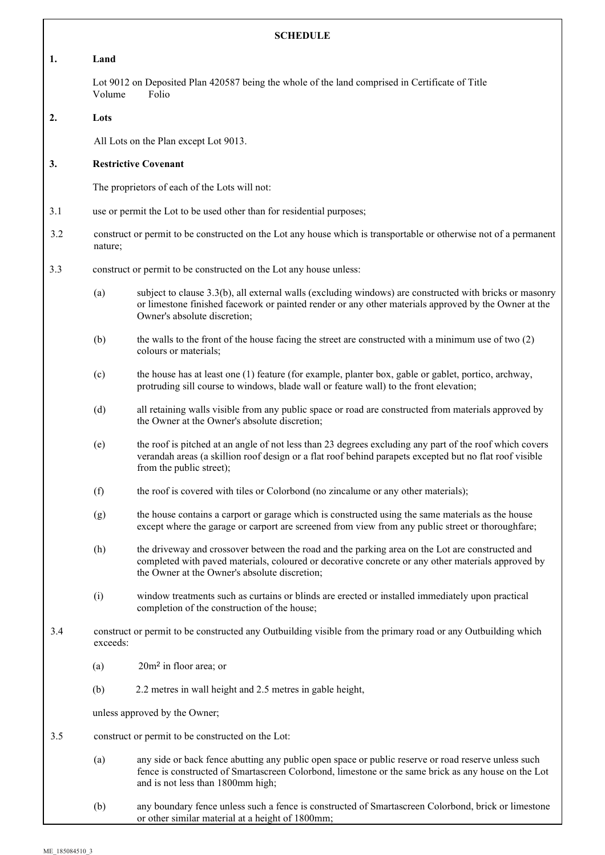| <b>SCHEDULE</b> |                                                                                                                              |                                                                                                                                                                                                                                                        |  |
|-----------------|------------------------------------------------------------------------------------------------------------------------------|--------------------------------------------------------------------------------------------------------------------------------------------------------------------------------------------------------------------------------------------------------|--|
| 1.              | Land                                                                                                                         |                                                                                                                                                                                                                                                        |  |
|                 | Lot 9012 on Deposited Plan 420587 being the whole of the land comprised in Certificate of Title<br>Volume<br>Folio           |                                                                                                                                                                                                                                                        |  |
| 2.              | Lots                                                                                                                         |                                                                                                                                                                                                                                                        |  |
|                 |                                                                                                                              | All Lots on the Plan except Lot 9013.                                                                                                                                                                                                                  |  |
| 3.              | <b>Restrictive Covenant</b>                                                                                                  |                                                                                                                                                                                                                                                        |  |
|                 | The proprietors of each of the Lots will not:                                                                                |                                                                                                                                                                                                                                                        |  |
| 3.1             | use or permit the Lot to be used other than for residential purposes;                                                        |                                                                                                                                                                                                                                                        |  |
| 3.2             | construct or permit to be constructed on the Lot any house which is transportable or otherwise not of a permanent<br>nature; |                                                                                                                                                                                                                                                        |  |
| 3.3             |                                                                                                                              | construct or permit to be constructed on the Lot any house unless:                                                                                                                                                                                     |  |
|                 | (a)                                                                                                                          | subject to clause 3.3(b), all external walls (excluding windows) are constructed with bricks or masonry<br>or limestone finished facework or painted render or any other materials approved by the Owner at the<br>Owner's absolute discretion;        |  |
|                 | (b)                                                                                                                          | the walls to the front of the house facing the street are constructed with a minimum use of two $(2)$<br>colours or materials;                                                                                                                         |  |
|                 | (c)                                                                                                                          | the house has at least one (1) feature (for example, planter box, gable or gablet, portico, archway,<br>protruding sill course to windows, blade wall or feature wall) to the front elevation;                                                         |  |
|                 | (d)                                                                                                                          | all retaining walls visible from any public space or road are constructed from materials approved by<br>the Owner at the Owner's absolute discretion;                                                                                                  |  |
|                 | (e)                                                                                                                          | the roof is pitched at an angle of not less than 23 degrees excluding any part of the roof which covers<br>verandah areas (a skillion roof design or a flat roof behind parapets excepted but no flat roof visible<br>from the public street);         |  |
|                 | (f)                                                                                                                          | the roof is covered with tiles or Colorbond (no zincalume or any other materials);                                                                                                                                                                     |  |
|                 | (g)                                                                                                                          | the house contains a carport or garage which is constructed using the same materials as the house<br>except where the garage or carport are screened from view from any public street or thoroughfare;                                                 |  |
|                 | (h)                                                                                                                          | the driveway and crossover between the road and the parking area on the Lot are constructed and<br>completed with paved materials, coloured or decorative concrete or any other materials approved by<br>the Owner at the Owner's absolute discretion; |  |
|                 | (i)                                                                                                                          | window treatments such as curtains or blinds are erected or installed immediately upon practical<br>completion of the construction of the house;                                                                                                       |  |
| 3.4             |                                                                                                                              | construct or permit to be constructed any Outbuilding visible from the primary road or any Outbuilding which<br>exceeds:                                                                                                                               |  |
|                 | (a)                                                                                                                          | $20m2$ in floor area; or                                                                                                                                                                                                                               |  |
|                 | (b)                                                                                                                          | 2.2 metres in wall height and 2.5 metres in gable height,                                                                                                                                                                                              |  |
|                 | unless approved by the Owner;                                                                                                |                                                                                                                                                                                                                                                        |  |
| 3.5             | construct or permit to be constructed on the Lot:                                                                            |                                                                                                                                                                                                                                                        |  |
|                 | (a)                                                                                                                          | any side or back fence abutting any public open space or public reserve or road reserve unless such<br>fence is constructed of Smartascreen Colorbond, limestone or the same brick as any house on the Lot<br>and is not less than 1800mm high;        |  |
|                 | (b)                                                                                                                          | any boundary fence unless such a fence is constructed of Smartascreen Colorbond, brick or limestone<br>or other similar material at a height of 1800mm;                                                                                                |  |

٦

 $\overline{\phantom{a}}$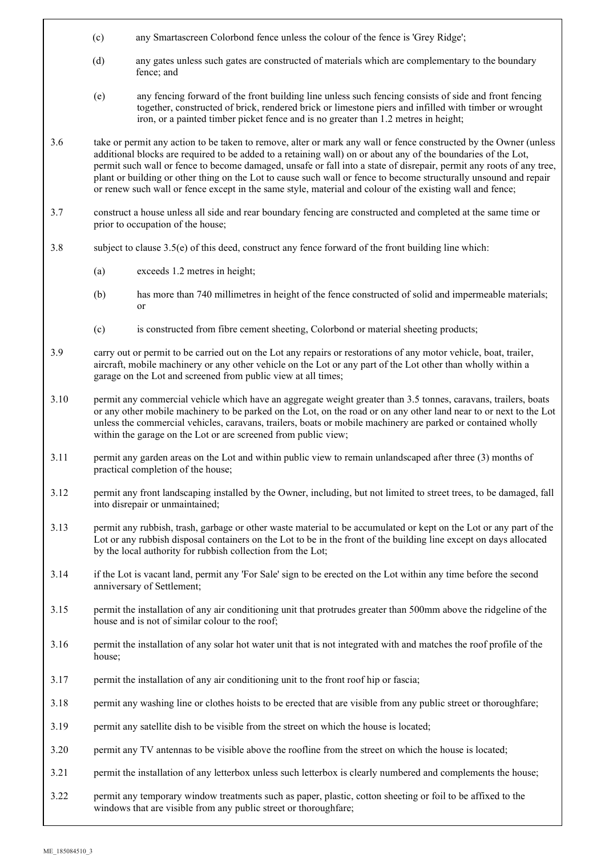- (c) any Smartascreen Colorbond fence unless the colour of the fence is 'Grey Ridge';
- (d) any gates unless such gates are constructed of materials which are complementary to the boundary fence; and
- (e) any fencing forward of the front building line unless such fencing consists of side and front fencing together, constructed of brick, rendered brick or limestone piers and infilled with timber or wrought iron, or a painted timber picket fence and is no greater than 1.2 metres in height;
- 3.6 take or permit any action to be taken to remove, alter or mark any wall or fence constructed by the Owner (unless additional blocks are required to be added to a retaining wall) on or about any of the boundaries of the Lot, permit such wall or fence to become damaged, unsafe or fall into a state of disrepair, permit any roots of any tree, plant or building or other thing on the Lot to cause such wall or fence to become structurally unsound and repair or renew such wall or fence except in the same style, material and colour of the existing wall and fence;
- 3.7 construct a house unless all side and rear boundary fencing are constructed and completed at the same time or prior to occupation of the house;
- 3.8 subject to clause 3.5(e) of this deed, construct any fence forward of the front building line which:
	- (a) exceeds 1.2 metres in height;
	- (b) has more than 740 millimetres in height of the fence constructed of solid and impermeable materials; or
	- (c) is constructed from fibre cement sheeting, Colorbond or material sheeting products;
- 3.9 carry out or permit to be carried out on the Lot any repairs or restorations of any motor vehicle, boat, trailer, aircraft, mobile machinery or any other vehicle on the Lot or any part of the Lot other than wholly within a garage on the Lot and screened from public view at all times;
- 3.10 permit any commercial vehicle which have an aggregate weight greater than 3.5 tonnes, caravans, trailers, boats or any other mobile machinery to be parked on the Lot, on the road or on any other land near to or next to the Lot unless the commercial vehicles, caravans, trailers, boats or mobile machinery are parked or contained wholly within the garage on the Lot or are screened from public view;
- 3.11 permit any garden areas on the Lot and within public view to remain unlandscaped after three (3) months of practical completion of the house;
- 3.12 permit any front landscaping installed by the Owner, including, but not limited to street trees, to be damaged, fall into disrepair or unmaintained;
- 3.13 permit any rubbish, trash, garbage or other waste material to be accumulated or kept on the Lot or any part of the Lot or any rubbish disposal containers on the Lot to be in the front of the building line except on days allocated by the local authority for rubbish collection from the Lot;
- 3.14 if the Lot is vacant land, permit any 'For Sale' sign to be erected on the Lot within any time before the second anniversary of Settlement;
- 3.15 permit the installation of any air conditioning unit that protrudes greater than 500mm above the ridgeline of the house and is not of similar colour to the roof;
- 3.16 permit the installation of any solar hot water unit that is not integrated with and matches the roof profile of the house;
- 3.17 permit the installation of any air conditioning unit to the front roof hip or fascia;
- 3.18 permit any washing line or clothes hoists to be erected that are visible from any public street or thoroughfare;
- 3.19 permit any satellite dish to be visible from the street on which the house is located;
- 3.20 permit any TV antennas to be visible above the roofline from the street on which the house is located;
- 3.21 permit the installation of any letterbox unless such letterbox is clearly numbered and complements the house;
- 3.22 permit any temporary window treatments such as paper, plastic, cotton sheeting or foil to be affixed to the windows that are visible from any public street or thoroughfare;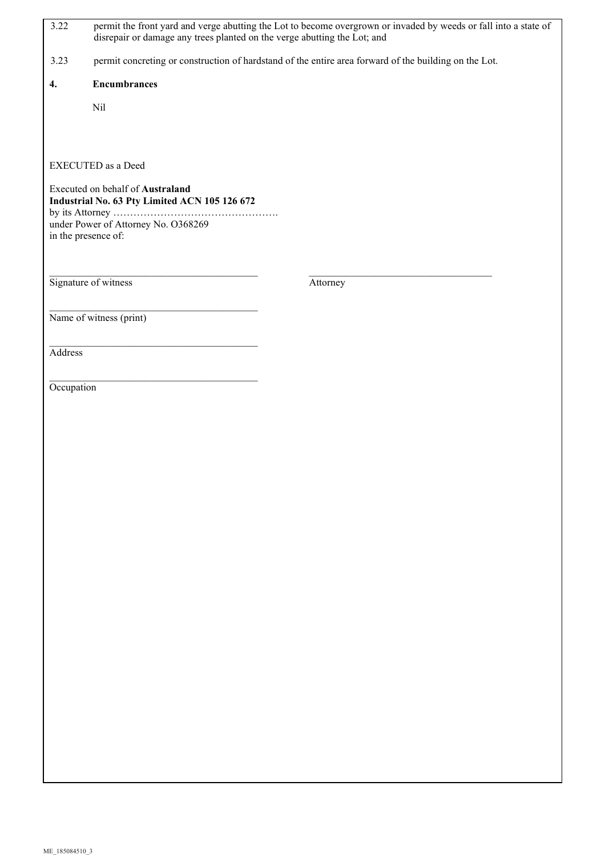| 3.22                                                                              | permit the front yard and verge abutting the Lot to become overgrown or invaded by weeds or fall into a state of<br>disrepair or damage any trees planted on the verge abutting the Lot; and |                                                                                                       |  |  |
|-----------------------------------------------------------------------------------|----------------------------------------------------------------------------------------------------------------------------------------------------------------------------------------------|-------------------------------------------------------------------------------------------------------|--|--|
| 3.23                                                                              |                                                                                                                                                                                              | permit concreting or construction of hardstand of the entire area forward of the building on the Lot. |  |  |
| 4.                                                                                | <b>Encumbrances</b>                                                                                                                                                                          |                                                                                                       |  |  |
|                                                                                   | Nil                                                                                                                                                                                          |                                                                                                       |  |  |
|                                                                                   |                                                                                                                                                                                              |                                                                                                       |  |  |
|                                                                                   | <b>EXECUTED</b> as a Deed                                                                                                                                                                    |                                                                                                       |  |  |
| Executed on behalf of Australand<br>Industrial No. 63 Pty Limited ACN 105 126 672 |                                                                                                                                                                                              |                                                                                                       |  |  |
| under Power of Attorney No. O368269                                               |                                                                                                                                                                                              |                                                                                                       |  |  |
| in the presence of:                                                               |                                                                                                                                                                                              |                                                                                                       |  |  |
|                                                                                   |                                                                                                                                                                                              |                                                                                                       |  |  |
|                                                                                   | Signature of witness                                                                                                                                                                         | Attorney                                                                                              |  |  |
|                                                                                   | Name of witness (print)                                                                                                                                                                      |                                                                                                       |  |  |
|                                                                                   |                                                                                                                                                                                              |                                                                                                       |  |  |
| Address                                                                           |                                                                                                                                                                                              |                                                                                                       |  |  |
| Occupation                                                                        |                                                                                                                                                                                              |                                                                                                       |  |  |
|                                                                                   |                                                                                                                                                                                              |                                                                                                       |  |  |
|                                                                                   |                                                                                                                                                                                              |                                                                                                       |  |  |
|                                                                                   |                                                                                                                                                                                              |                                                                                                       |  |  |
|                                                                                   |                                                                                                                                                                                              |                                                                                                       |  |  |
|                                                                                   |                                                                                                                                                                                              |                                                                                                       |  |  |
|                                                                                   |                                                                                                                                                                                              |                                                                                                       |  |  |
|                                                                                   |                                                                                                                                                                                              |                                                                                                       |  |  |
|                                                                                   |                                                                                                                                                                                              |                                                                                                       |  |  |
|                                                                                   |                                                                                                                                                                                              |                                                                                                       |  |  |
|                                                                                   |                                                                                                                                                                                              |                                                                                                       |  |  |
|                                                                                   |                                                                                                                                                                                              |                                                                                                       |  |  |
|                                                                                   |                                                                                                                                                                                              |                                                                                                       |  |  |